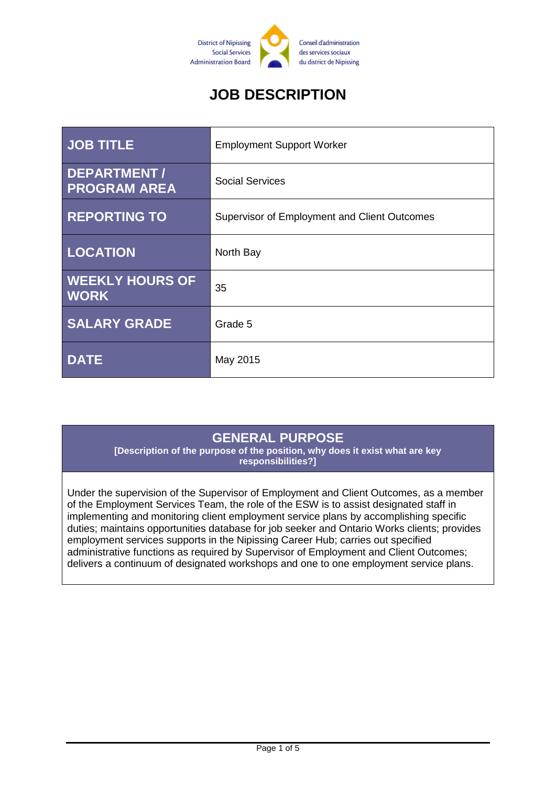

# **JOB DESCRIPTION**

| <b>JOB TITLE</b>                      | <b>Employment Support Worker</b>             |
|---------------------------------------|----------------------------------------------|
| DEPARTMENT /<br><b>PROGRAM AREA</b>   | <b>Social Services</b>                       |
| <b>REPORTING TO</b>                   | Supervisor of Employment and Client Outcomes |
| <b>LOCATION</b>                       | North Bay                                    |
| <b>WEEKLY HOURS OF</b><br><b>WORK</b> | 35                                           |
| <b>SALARY GRADE</b>                   | Grade 5                                      |
| <b>DATE</b>                           | May 2015                                     |

# **GENERAL PURPOSE**

**[Description of the purpose of the position, why does it exist what are key responsibilities?]**

Under the supervision of the Supervisor of Employment and Client Outcomes, as a member of the Employment Services Team, the role of the ESW is to assist designated staff in implementing and monitoring client employment service plans by accomplishing specific duties; maintains opportunities database for job seeker and Ontario Works clients; provides employment services supports in the Nipissing Career Hub; carries out specified administrative functions as required by Supervisor of Employment and Client Outcomes; delivers a continuum of designated workshops and one to one employment service plans.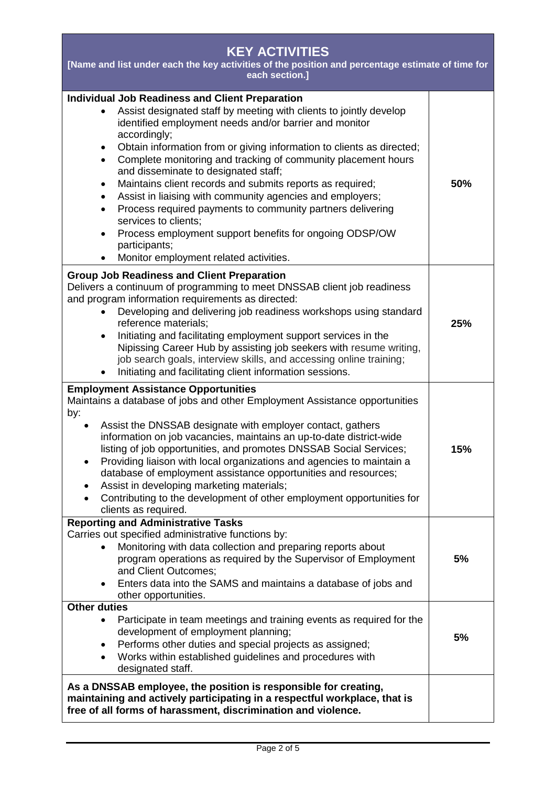| <b>KEY ACTIVITIES</b><br>[Name and list under each the key activities of the position and percentage estimate of time for<br>each section.]                                                                                                                                                                                                                                                                                                                                                                                                                                                                                                                                                                                                                                             |     |  |
|-----------------------------------------------------------------------------------------------------------------------------------------------------------------------------------------------------------------------------------------------------------------------------------------------------------------------------------------------------------------------------------------------------------------------------------------------------------------------------------------------------------------------------------------------------------------------------------------------------------------------------------------------------------------------------------------------------------------------------------------------------------------------------------------|-----|--|
| <b>Individual Job Readiness and Client Preparation</b><br>Assist designated staff by meeting with clients to jointly develop<br>identified employment needs and/or barrier and monitor<br>accordingly;<br>Obtain information from or giving information to clients as directed;<br>$\bullet$<br>Complete monitoring and tracking of community placement hours<br>$\bullet$<br>and disseminate to designated staff;<br>Maintains client records and submits reports as required;<br>٠<br>Assist in liaising with community agencies and employers;<br>Process required payments to community partners delivering<br>$\bullet$<br>services to clients;<br>Process employment support benefits for ongoing ODSP/OW<br>$\bullet$<br>participants;<br>Monitor employment related activities. | 50% |  |
| <b>Group Job Readiness and Client Preparation</b><br>Delivers a continuum of programming to meet DNSSAB client job readiness<br>and program information requirements as directed:<br>Developing and delivering job readiness workshops using standard<br>reference materials;<br>Initiating and facilitating employment support services in the<br>$\bullet$<br>Nipissing Career Hub by assisting job seekers with resume writing,<br>job search goals, interview skills, and accessing online training;<br>Initiating and facilitating client information sessions.                                                                                                                                                                                                                    | 25% |  |
| <b>Employment Assistance Opportunities</b><br>Maintains a database of jobs and other Employment Assistance opportunities<br>by:<br>Assist the DNSSAB designate with employer contact, gathers<br>information on job vacancies, maintains an up-to-date district-wide<br>listing of job opportunities, and promotes DNSSAB Social Services;<br>Providing liaison with local organizations and agencies to maintain a<br>٠<br>database of employment assistance opportunities and resources;<br>Assist in developing marketing materials;<br>Contributing to the development of other employment opportunities for<br>clients as required.                                                                                                                                                | 15% |  |
| <b>Reporting and Administrative Tasks</b><br>Carries out specified administrative functions by:<br>Monitoring with data collection and preparing reports about<br>program operations as required by the Supervisor of Employment<br>and Client Outcomes;<br>Enters data into the SAMS and maintains a database of jobs and<br>$\bullet$<br>other opportunities.                                                                                                                                                                                                                                                                                                                                                                                                                         | 5%  |  |
| <b>Other duties</b><br>Participate in team meetings and training events as required for the<br>development of employment planning;<br>Performs other duties and special projects as assigned;<br>٠<br>Works within established guidelines and procedures with<br>designated staff.                                                                                                                                                                                                                                                                                                                                                                                                                                                                                                      | 5%  |  |
| As a DNSSAB employee, the position is responsible for creating,<br>maintaining and actively participating in a respectful workplace, that is<br>free of all forms of harassment, discrimination and violence.                                                                                                                                                                                                                                                                                                                                                                                                                                                                                                                                                                           |     |  |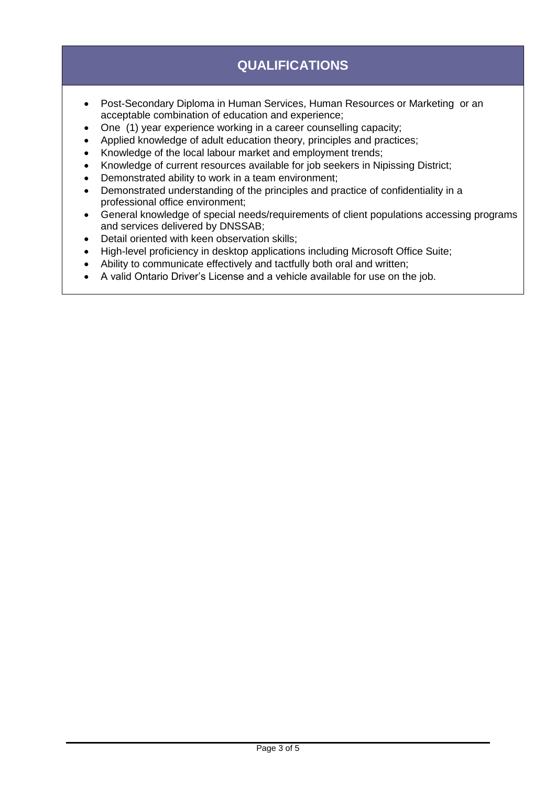# **QUALIFICATIONS**

- Post-Secondary Diploma in Human Services, Human Resources or Marketing or an acceptable combination of education and experience;
- One (1) year experience working in a career counselling capacity;
- Applied knowledge of adult education theory, principles and practices;
- Knowledge of the local labour market and employment trends;
- Knowledge of current resources available for job seekers in Nipissing District;
- Demonstrated ability to work in a team environment;
- Demonstrated understanding of the principles and practice of confidentiality in a professional office environment;
- General knowledge of special needs/requirements of client populations accessing programs and services delivered by DNSSAB;
- Detail oriented with keen observation skills;
- High-level proficiency in desktop applications including Microsoft Office Suite;
- Ability to communicate effectively and tactfully both oral and written;
- A valid Ontario Driver's License and a vehicle available for use on the job.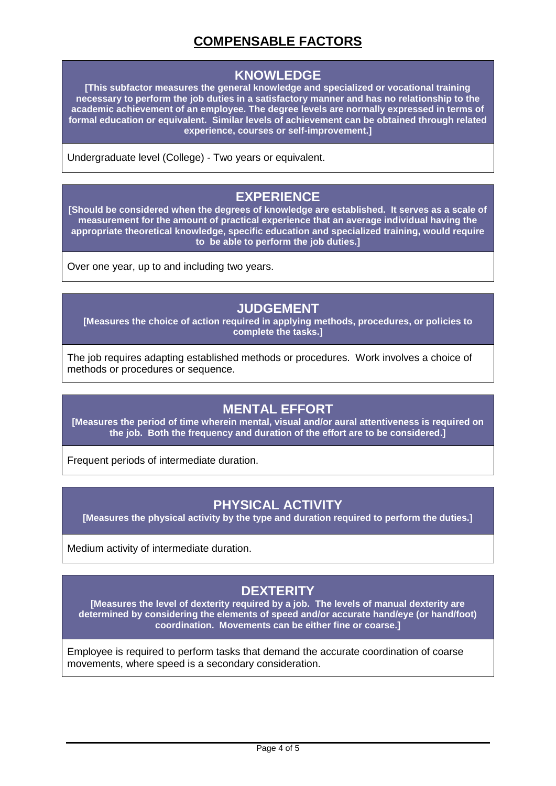# **COMPENSABLE FACTORS**

#### **KNOWLEDGE**

**[This subfactor measures the general knowledge and specialized or vocational training necessary to perform the job duties in a satisfactory manner and has no relationship to the academic achievement of an employee. The degree levels are normally expressed in terms of formal education or equivalent. Similar levels of achievement can be obtained through related experience, courses or self-improvement.]**

Undergraduate level (College) - Two years or equivalent.

### **EXPERIENCE**

**[Should be considered when the degrees of knowledge are established. It serves as a scale of measurement for the amount of practical experience that an average individual having the appropriate theoretical knowledge, specific education and specialized training, would require to be able to perform the job duties.]**

Over one year, up to and including two years.

### **JUDGEMENT**

**[Measures the choice of action required in applying methods, procedures, or policies to complete the tasks.]**

The job requires adapting established methods or procedures. Work involves a choice of methods or procedures or sequence.

## **MENTAL EFFORT**

**[Measures the period of time wherein mental, visual and/or aural attentiveness is required on the job. Both the frequency and duration of the effort are to be considered.]**

Frequent periods of intermediate duration.

## **PHYSICAL ACTIVITY**

**[Measures the physical activity by the type and duration required to perform the duties.]**

Medium activity of intermediate duration.

# **DEXTERITY**

**[Measures the level of dexterity required by a job. The levels of manual dexterity are determined by considering the elements of speed and/or accurate hand/eye (or hand/foot) coordination. Movements can be either fine or coarse.]**

Employee is required to perform tasks that demand the accurate coordination of coarse movements, where speed is a secondary consideration.